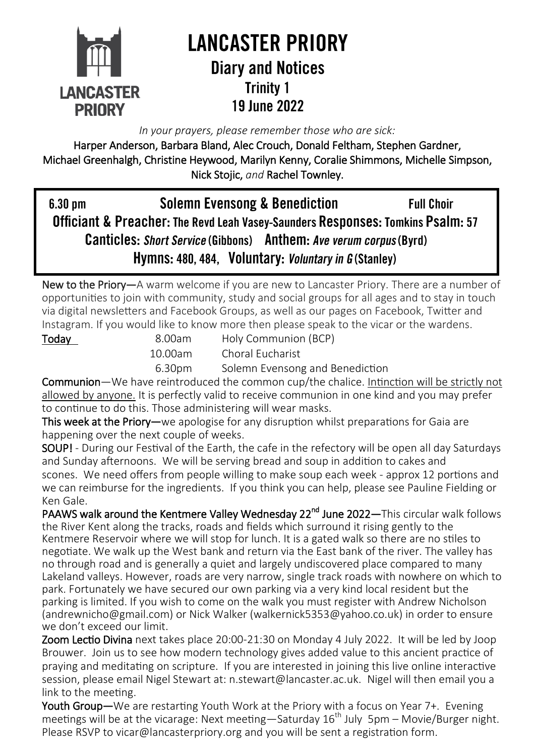

# **LANCASTER PRIORY Diary and Notices Trinity 1** 19 June 2022

*In your prayers, please remember those who are sick:* 

Harper Anderson, Barbara Bland, Alec Crouch, Donald Feltham, Stephen Gardner, Michael Greenhalgh, Christine Heywood, Marilyn Kenny, Coralie Shimmons, Michelle Simpson, Nick Stojic, *and* Rachel Townley.

**Solemn Evensong & Benediction**  $6.30$  pm **Full Choir** Officiant & Preacher: The Revd Leah Vasey-Saunders Responses: Tomkins Psalm: 57 Canticles: Short Service (Gibbons) Anthem: Ave verum corpus (Byrd) Hymns: 480, 484, Voluntary: Voluntary in G (Stanley)

New to the Priory—A warm welcome if you are new to Lancaster Priory. There are a number of opportunities to join with community, study and social groups for all ages and to stay in touch via digital newsletters and Facebook Groups, as well as our pages on Facebook, Twitter and Instagram. If you would like to know more then please speak to the vicar or the wardens.

Today 8.00am Holy Communion (BCP) 10.00am Choral Eucharist

6.30pm Solemn Evensong and Benediction

Communion—We have reintroduced the common cup/the chalice. Intinction will be strictly not allowed by anyone. It is perfectly valid to receive communion in one kind and you may prefer to continue to do this. Those administering will wear masks.

This week at the Priory—we apologise for any disruption whilst preparations for Gaia are happening over the next couple of weeks.

SOUP! - During our Festival of the Earth, the cafe in the refectory will be open all day Saturdays and Sunday afternoons. We will be serving bread and soup in addition to cakes and scones. We need offers from people willing to make soup each week - approx 12 portions and we can reimburse for the ingredients. If you think you can help, please see Pauline Fielding or Ken Gale.

PAAWS walk around the Kentmere Valley Wednesday 22<sup>nd</sup> June 2022—This circular walk follows the River Kent along the tracks, roads and fields which surround it rising gently to the Kentmere Reservoir where we will stop for lunch. It is a gated walk so there are no stiles to negotiate. We walk up the West bank and return via the East bank of the river. The valley has no through road and is generally a quiet and largely undiscovered place compared to many Lakeland valleys. However, roads are very narrow, single track roads with nowhere on which to park. Fortunately we have secured our own parking via a very kind local resident but the parking is limited. If you wish to come on the walk you must register with Andrew Nicholson ([andrewnicho@gmail.com\)](mailto:andrewnicho@gmail.com) or Nick Walker (walkernick5353@yahoo.co.uk) in order to ensure we don't exceed our limit.

Zoom Lectio Divina next takes place 20:00-21:30 on Monday 4 July 2022. It will be led by Joop Brouwer. Join us to see how modern technology gives added value to this ancient practice of praying and meditating on scripture. If you are interested in joining this live online interactive session, please email Nigel Stewart at: [n.stewart@lancaster.ac.uk.](mailto:n.stewart@lancaster.ac.uk.%20%20) Nigel will then email you a link to the meeting.

Youth Group—We are restarting Youth Work at the Priory with a focus on Year 7+. Evening meetings will be at the vicarage: Next meeting—Saturday  $16<sup>th</sup>$  July 5pm – Movie/Burger night. Please RSVP to [vicar@lancasterpriory.org](mailto:vicar@lancasterpriory.org) and you will be sent a registration form.